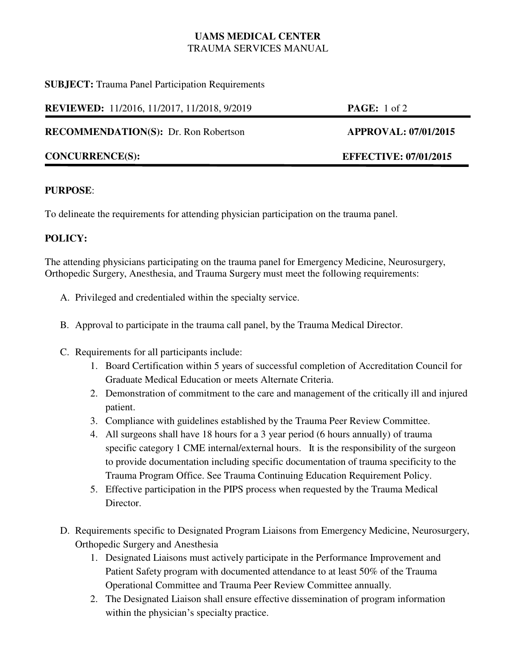# **UAMS MEDICAL CENTER** TRAUMA SERVICES MANUAL

### **SUBJECT:** Trauma Panel Participation Requirements

**REVIEWED:** 11/2016, 11/2017, 11/2018, 9/2019 **PAGE:** 1 of 2

**RECOMMENDATION(S):** Dr. Ron Robertson **APPROVAL: 07/01/2015**

# **CONCURRENCE(S): EFFECTIVE: 07/01/2015**

# **PURPOSE**:

To delineate the requirements for attending physician participation on the trauma panel.

# **POLICY:**

The attending physicians participating on the trauma panel for Emergency Medicine, Neurosurgery, Orthopedic Surgery, Anesthesia, and Trauma Surgery must meet the following requirements:

- A. Privileged and credentialed within the specialty service.
- B. Approval to participate in the trauma call panel, by the Trauma Medical Director.
- C. Requirements for all participants include:
	- 1. Board Certification within 5 years of successful completion of Accreditation Council for Graduate Medical Education or meets Alternate Criteria.
	- 2. Demonstration of commitment to the care and management of the critically ill and injured patient.
	- 3. Compliance with guidelines established by the Trauma Peer Review Committee.
	- 4. All surgeons shall have 18 hours for a 3 year period (6 hours annually) of trauma specific category 1 CME internal/external hours. It is the responsibility of the surgeon to provide documentation including specific documentation of trauma specificity to the Trauma Program Office. See Trauma Continuing Education Requirement Policy.
	- 5. Effective participation in the PIPS process when requested by the Trauma Medical Director.
- D. Requirements specific to Designated Program Liaisons from Emergency Medicine, Neurosurgery, Orthopedic Surgery and Anesthesia
	- 1. Designated Liaisons must actively participate in the Performance Improvement and Patient Safety program with documented attendance to at least 50% of the Trauma Operational Committee and Trauma Peer Review Committee annually.
	- 2. The Designated Liaison shall ensure effective dissemination of program information within the physician's specialty practice.